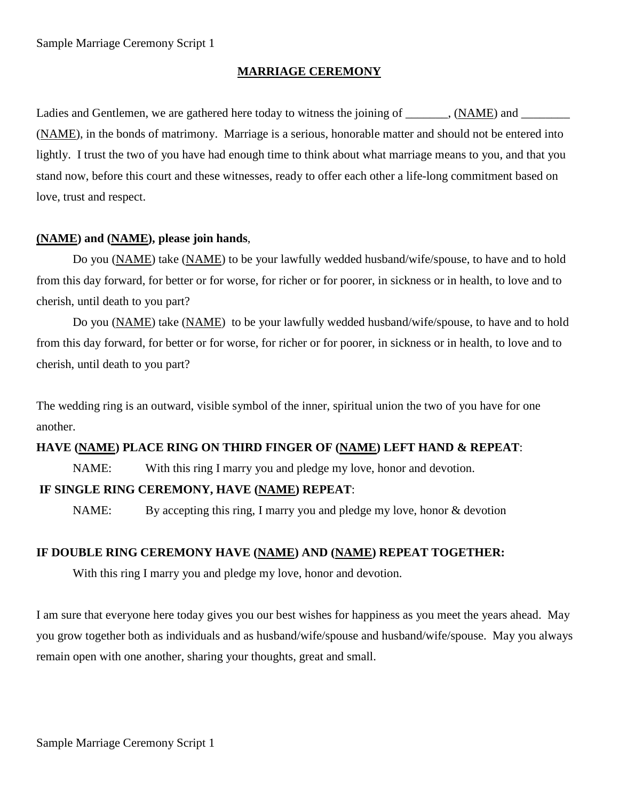#### **MARRIAGE CEREMONY**

Ladies and Gentlemen, we are gathered here today to witness the joining of \_\_\_\_\_\_, (NAME) and \_\_\_\_\_\_ (NAME), in the bonds of matrimony. Marriage is a serious, honorable matter and should not be entered into lightly. I trust the two of you have had enough time to think about what marriage means to you, and that you stand now, before this court and these witnesses, ready to offer each other a life-long commitment based on love, trust and respect.

#### **(NAME) and (NAME), please join hands**,

Do you (NAME) take (NAME) to be your lawfully wedded husband/wife/spouse, to have and to hold from this day forward, for better or for worse, for richer or for poorer, in sickness or in health, to love and to cherish, until death to you part?

Do you (NAME) take (NAME) to be your lawfully wedded husband/wife/spouse, to have and to hold from this day forward, for better or for worse, for richer or for poorer, in sickness or in health, to love and to cherish, until death to you part?

The wedding ring is an outward, visible symbol of the inner, spiritual union the two of you have for one another.

## **HAVE (NAME) PLACE RING ON THIRD FINGER OF (NAME) LEFT HAND & REPEAT**:

NAME: With this ring I marry you and pledge my love, honor and devotion.

# **IF SINGLE RING CEREMONY, HAVE (NAME) REPEAT**:

NAME: By accepting this ring, I marry you and pledge my love, honor & devotion

### **IF DOUBLE RING CEREMONY HAVE (NAME) AND (NAME) REPEAT TOGETHER:**

With this ring I marry you and pledge my love, honor and devotion.

I am sure that everyone here today gives you our best wishes for happiness as you meet the years ahead. May you grow together both as individuals and as husband/wife/spouse and husband/wife/spouse. May you always remain open with one another, sharing your thoughts, great and small.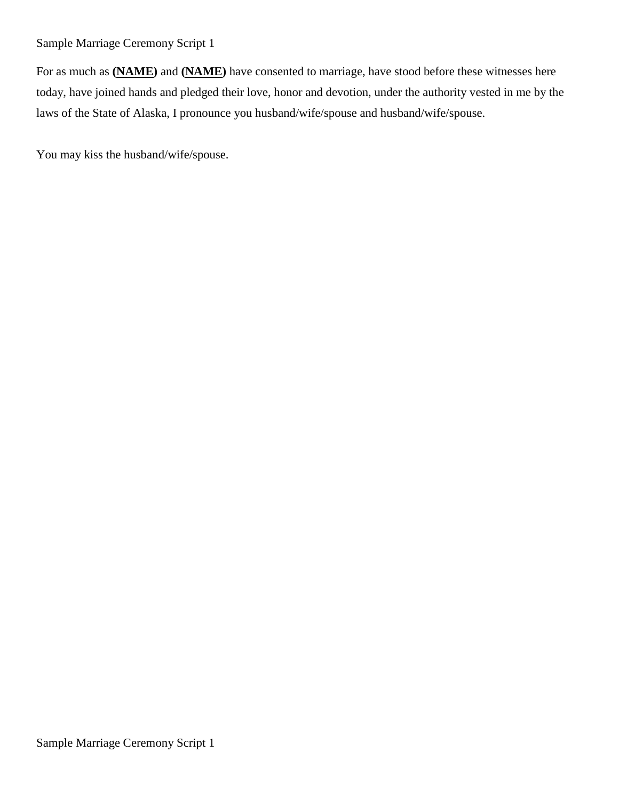## Sample Marriage Ceremony Script 1

For as much as **(NAME)** and **(NAME)** have consented to marriage, have stood before these witnesses here today, have joined hands and pledged their love, honor and devotion, under the authority vested in me by the laws of the State of Alaska, I pronounce you husband/wife/spouse and husband/wife/spouse.

You may kiss the husband/wife/spouse.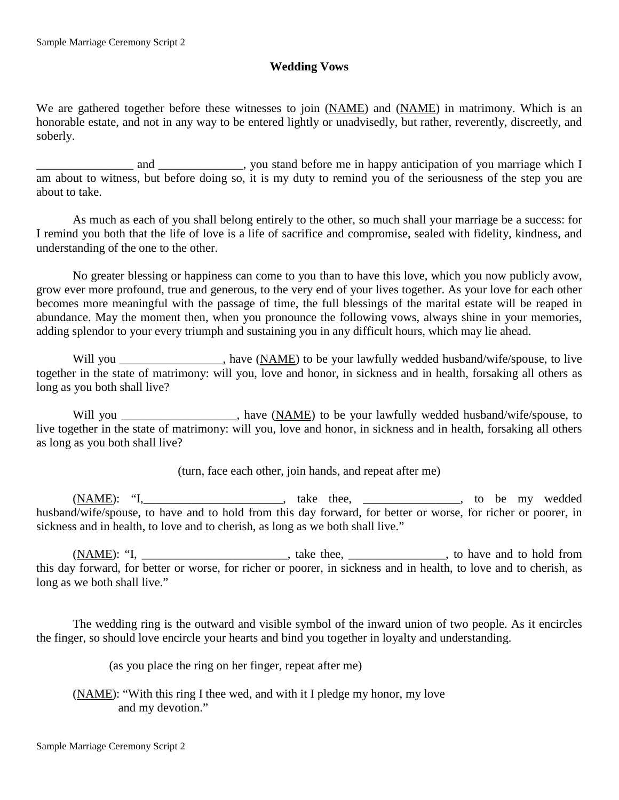# **Wedding Vows**

We are gathered together before these witnesses to join (NAME) and (NAME) in matrimony. Which is an honorable estate, and not in any way to be entered lightly or unadvisedly, but rather, reverently, discreetly, and soberly.

and \_\_\_\_\_\_\_\_\_\_\_\_, you stand before me in happy anticipation of you marriage which I am about to witness, but before doing so, it is my duty to remind you of the seriousness of the step you are about to take.

As much as each of you shall belong entirely to the other, so much shall your marriage be a success: for I remind you both that the life of love is a life of sacrifice and compromise, sealed with fidelity, kindness, and understanding of the one to the other.

No greater blessing or happiness can come to you than to have this love, which you now publicly avow, grow ever more profound, true and generous, to the very end of your lives together. As your love for each other becomes more meaningful with the passage of time, the full blessings of the marital estate will be reaped in abundance. May the moment then, when you pronounce the following vows, always shine in your memories, adding splendor to your every triumph and sustaining you in any difficult hours, which may lie ahead.

Will you have (NAME) to be your lawfully wedded husband/wife/spouse, to live together in the state of matrimony: will you, love and honor, in sickness and in health, forsaking all others as long as you both shall live?

Will you \_\_\_\_\_\_\_\_\_\_\_\_\_\_\_, have (NAME) to be your lawfully wedded husband/wife/spouse, to live together in the state of matrimony: will you, love and honor, in sickness and in health, forsaking all others as long as you both shall live?

(turn, face each other, join hands, and repeat after me)

(NAME): "I,\_\_\_\_\_\_\_\_\_\_\_\_\_\_\_\_\_\_\_\_\_\_\_, take thee, \_\_\_\_\_\_\_\_\_\_\_\_\_\_\_\_, to be my wedded husband/wife/spouse, to have and to hold from this day forward, for better or worse, for richer or poorer, in sickness and in health, to love and to cherish, as long as we both shall live."

(NAME): "I, \_\_\_\_\_\_\_\_\_\_\_\_\_\_\_\_\_\_\_\_\_\_\_\_, take thee, \_\_\_\_\_\_\_\_\_\_\_\_\_\_\_\_\_\_, to have and to hold from this day forward, for better or worse, for richer or poorer, in sickness and in health, to love and to cherish, as long as we both shall live."

The wedding ring is the outward and visible symbol of the inward union of two people. As it encircles the finger, so should love encircle your hearts and bind you together in loyalty and understanding.

(as you place the ring on her finger, repeat after me)

(NAME): "With this ring I thee wed, and with it I pledge my honor, my love and my devotion."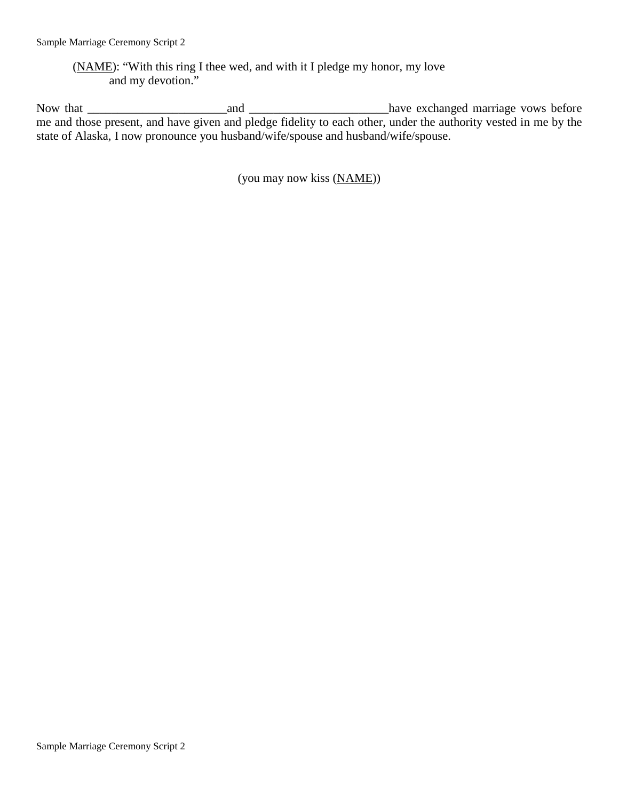(NAME): "With this ring I thee wed, and with it I pledge my honor, my love and my devotion."

Now that \_\_\_\_\_\_\_\_\_\_\_\_\_\_\_\_\_\_\_\_\_\_\_and \_\_\_\_\_\_\_\_\_\_\_\_\_\_\_\_\_\_\_\_\_\_\_have exchanged marriage vows before me and those present, and have given and pledge fidelity to each other, under the authority vested in me by the state of Alaska, I now pronounce you husband/wife/spouse and husband/wife/spouse.

(you may now kiss (NAME))